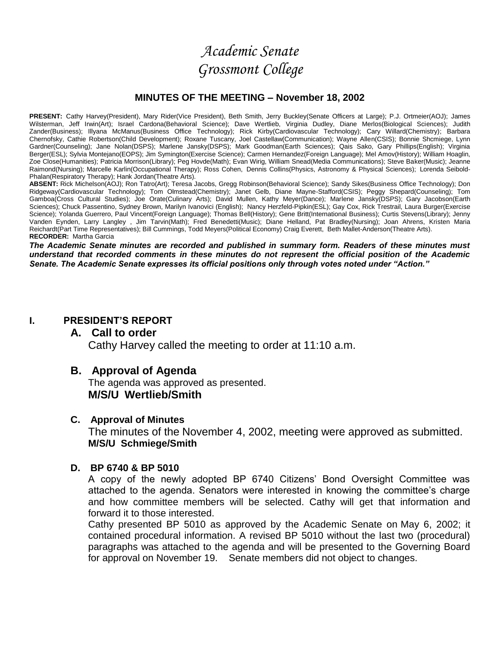# *Academic Senate Grossmont College*

#### **MINUTES OF THE MEETING – November 18, 2002**

PRESENT: Cathy Harvey(President), Mary Rider(Vice President), Beth Smith, Jerry Buckley(Senate Officers at Large); P.J. Ortmeier(AOJ); James Wilsterman, Jeff Irwin(Art); Israel Cardona(Behavioral Science); Dave Wertlieb, Virginia Dudley, Diane Merlos(Biological Sciences); Judith Zander(Business); Illyana McManus(Business Office Technology); Rick Kirby(Cardiovascular Technology); Cary Willard(Chemistry); Barbara Chernofsky, Cathie Robertson(Child Development); Roxane Tuscany, Joel Castellaw(Communication); Wayne Allen(CSIS); Bonnie Shcmiege, Lynn Gardner(Counseling); Jane Nolan(DSPS); Marlene Jansky(DSPS); Mark Goodman(Earth Sciences); Qais Sako, Gary Phillips(English); Virginia Berger(ESL); Sylvia Montejano(EOPS); Jim Symington(Exercise Science); Carmen Hernandez(Foreign Language); Mel Amov(History); William Hoaglin, Zoe Close(Humanities); Patricia Morrison(Library); Peg Hovde(Math); Evan Wirig, William Snead(Media Communications); Steve Baker(Music); Jeanne Raimond(Nursing); Marcelle Karlin(Occupational Therapy); Ross Cohen, Dennis Collins(Physics, Astronomy & Physical Sciences); Lorenda Seibold-Phalan(Respiratory Therapy); Hank Jordan(Theatre Arts).

**ABSENT:** Rick Michelson(AOJ); Ron Tatro(Art); Teresa Jacobs, Gregg Robinson(Behavioral Science); Sandy Sikes(Business Office Technology); Don Ridgeway(Cardiovascular Technology); Tom Olmstead(Chemistry); Janet Gelb, Diane Mayne-Stafford(CSIS); Peggy Shepard(Counseling); Tom Gamboa(Cross Cultural Studies); Joe Orate(Culinary Arts); David Mullen, Kathy Meyer(Dance); Marlene Jansky(DSPS); Gary Jacobson(Earth Sciences); Chuck Passentino, Sydney Brown, Marilyn Ivanovici (English); Nancy Herzfeld-Pipkin(ESL); Gay Cox, Rick Trestrail, Laura Burger(Exercise Science); Yolanda Guerrero, Paul Vincent(Foreign Language); Thomas Bell(History); Gene Britt(International Business); Curtis Stevens(Library); Jenny Vanden Eynden, Larry Langley , Jim Tarvin(Math); Fred Benedetti(Music); Diane Helland, Pat Bradley(Nursing); Joan Ahrens, Kristen Maria Reichardt(Part Time Representatives); Bill Cummings, Todd Meyers(Political Economy) Craig Everett, Beth Mallet-Anderson(Theatre Arts). **RECORDER:** Martha Garcia

*The Academic Senate minutes are recorded and published in summary form. Readers of these minutes must understand that recorded comments in these minutes do not represent the official position of the Academic Senate. The Academic Senate expresses its official positions only through votes noted under "Action."*

#### **I. PRESIDENT'S REPORT**

### **A. Call to order**

Cathy Harvey called the meeting to order at 11:10 a.m.

### **B. Approval of Agenda**

The agenda was approved as presented. **M/S/U Wertlieb/Smith**

#### **C. Approval of Minutes**

The minutes of the November 4, 2002, meeting were approved as submitted. **M/S/U Schmiege/Smith**

#### **D. BP 6740 & BP 5010**

A copy of the newly adopted BP 6740 Citizens' Bond Oversight Committee was attached to the agenda. Senators were interested in knowing the committee's charge and how committee members will be selected. Cathy will get that information and forward it to those interested.

Cathy presented BP 5010 as approved by the Academic Senate on May 6, 2002; it contained procedural information. A revised BP 5010 without the last two (procedural) paragraphs was attached to the agenda and will be presented to the Governing Board for approval on November 19. Senate members did not object to changes.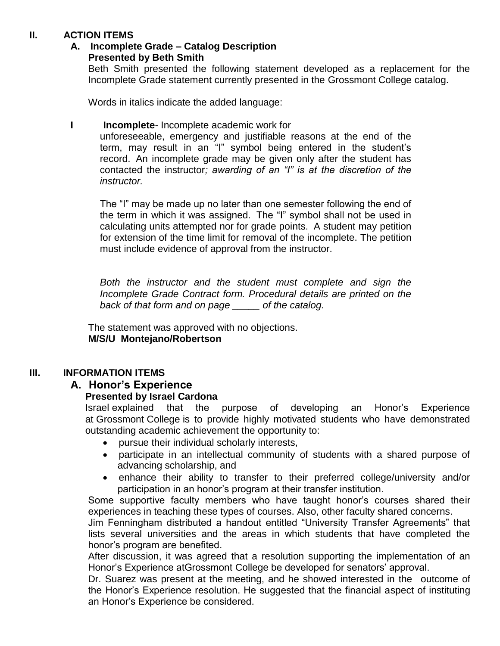# **II. ACTION ITEMS**

# **A. Incomplete Grade – Catalog Description**

### **Presented by Beth Smith**

Beth Smith presented the following statement developed as a replacement for the Incomplete Grade statement currently presented in the Grossmont College catalog.

Words in italics indicate the added language:

# **I** Incomplete- Incomplete academic work for

unforeseeable, emergency and justifiable reasons at the end of the term, may result in an "I" symbol being entered in the student's record. An incomplete grade may be given only after the student has contacted the instructor*; awarding of an "I" is at the discretion of the instructor.*

The "I" may be made up no later than one semester following the end of the term in which it was assigned. The "I" symbol shall not be used in calculating units attempted nor for grade points. A student may petition for extension of the time limit for removal of the incomplete. The petition must include evidence of approval from the instructor.

*Both the instructor and the student must complete and sign the Incomplete Grade Contract form. Procedural details are printed on the back of that form and on page \_\_\_\_\_ of the catalog.*

The statement was approved with no objections. **M/S/U Montejano/Robertson**

# **III. INFORMATION ITEMS**

# **A. Honor's Experience**

# **Presented by Israel Cardona**

Israel explained that the purpose of developing an Honor's Experience at Grossmont College is to provide highly motivated students who have demonstrated outstanding academic achievement the opportunity to:

- pursue their individual scholarly interests,
- participate in an intellectual community of students with a shared purpose of advancing scholarship, and
- enhance their ability to transfer to their preferred college/university and/or participation in an honor's program at their transfer institution.

Some supportive faculty members who have taught honor's courses shared their experiences in teaching these types of courses. Also, other faculty shared concerns.

Jim Fenningham distributed a handout entitled "University Transfer Agreements" that lists several universities and the areas in which students that have completed the honor's program are benefited.

After discussion, it was agreed that a resolution supporting the implementation of an Honor's Experience atGrossmont College be developed for senators' approval.

Dr. Suarez was present at the meeting, and he showed interested in the outcome of the Honor's Experience resolution. He suggested that the financial aspect of instituting an Honor's Experience be considered.